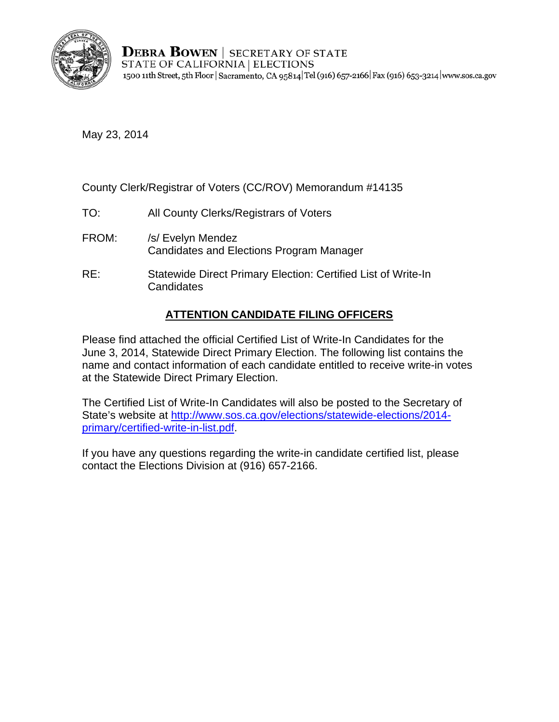

**DEBRA BOWEN** | SECRETARY OF STATE STATE OF CALIFORNIA | ELECTIONS 1500 11th Street, 5th Floor | Sacramento, CA 95814 Tel (916) 657-2166 | Fax (916) 653-3214 | www.sos.ca.gov

May 23, 2014

County Clerk/Registrar of Voters (CC/ROV) Memorandum #14135

- TO: All County Clerks/Registrars of Voters
- FROM: /s/ Evelyn Mendez Candidates and Elections Program Manager
- RE: Statewide Direct Primary Election: Certified List of Write-In **Candidates**

## **ATTENTION CANDIDATE FILING OFFICERS**

Please find attached the official Certified List of Write-In Candidates for the June 3, 2014, Statewide Direct Primary Election. The following list contains the name and contact information of each candidate entitled to receive write-in votes at the Statewide Direct Primary Election.

The Certified List of Write-In Candidates will also be posted to the Secretary of State's website at [http://www.sos.ca.gov/elections/statewide-elections/2014](http://elections.cdn.sos.ca.gov/statewide-elections/2014-primary/certified-write-in-list.pdf) [primary/certified-write-in-list.pdf.](http://elections.cdn.sos.ca.gov/statewide-elections/2014-primary/certified-write-in-list.pdf) 

If you have any questions regarding the write-in candidate certified list, please contact the Elections Division at (916) 657-2166.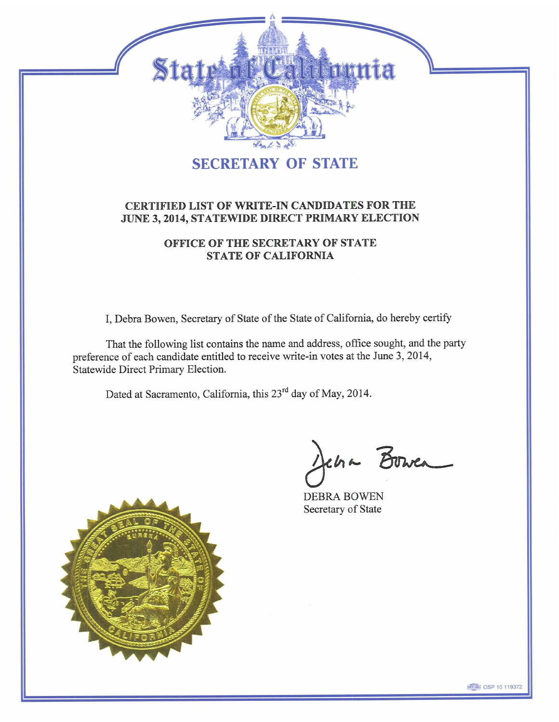

## **SECRETARY OF STATE**

### CERTIFIED LIST OF WRITE-IN CANDIDATES FOR THE JUNE 3, 2014, STATEWIDE DIRECT PRIMARY ELECTION

## OFFICE OF THE SECRETARY OF STATE **STATE OF CALIFORNIA**

I, Debra Bowen, Secretary of State of the State of California, do hereby certify

That the following list contains the name and address, office sought, and the party preference of each candidate entitled to receive write-in votes at the June 3, 2014, Statewide Direct Primary Election.

Dated at Sacramento, California, this 23<sup>rd</sup> day of May, 2014.

Jena Bower

**DEBRA BOWEN** Secretary of State



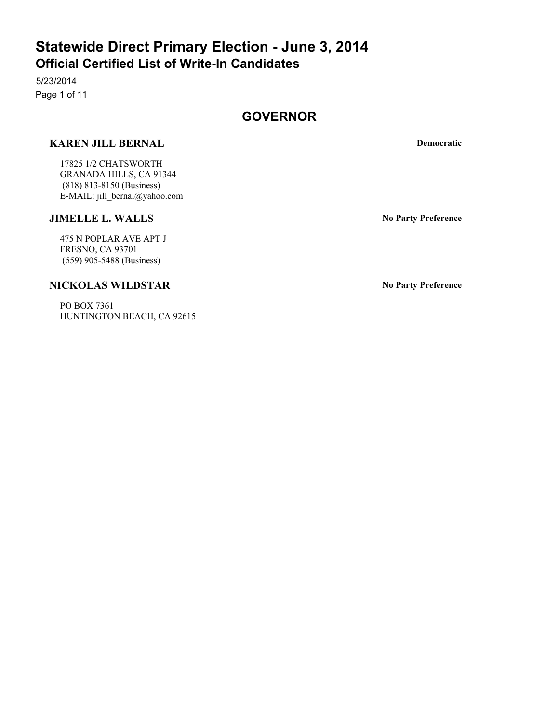5/23/2014 Page 1 of 11

## **GOVERNOR**

### **KAREN JILL BERNAL Democratic**

17825 1/2 CHATSWORTH GRANADA HILLS, CA 91344 (818) 813-8150 (Business) E-MAIL: jill\_bernal@yahoo.com

#### **JIMELLE L. WALLS No Party Preference**

475 N POPLAR AVE APT J FRESNO, CA 93701 (559) 905-5488 (Business)

### **NICKOLAS WILDSTAR No Party Preference**

PO BOX 7361 HUNTINGTON BEACH, CA 92615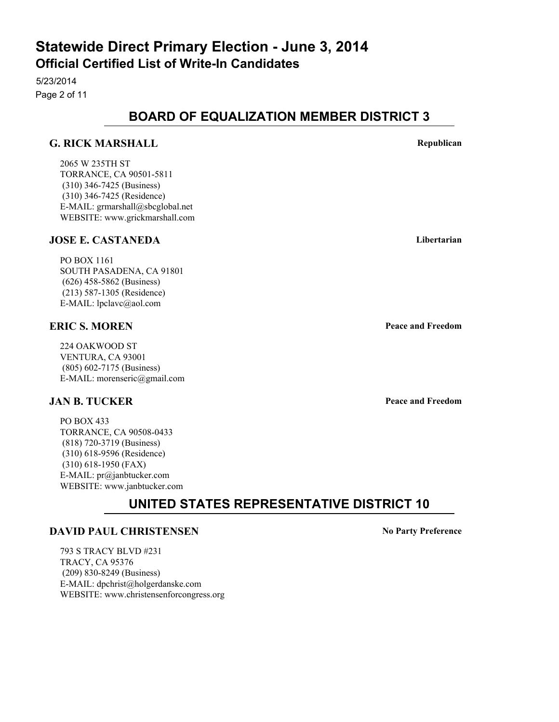5/23/2014 Page 2 of 11

## **BOARD OF EQUALIZATION MEMBER DISTRICT 3**

#### **G. RICK MARSHALL Republican**

2065 W 235TH ST TORRANCE, CA 90501-5811 (310) 346-7425 (Business) (310) 346-7425 (Residence) E-MAIL: grmarshall@sbcglobal.net WEBSITE: www.grickmarshall.com

#### **JOSE E. CASTANEDA Libertarian**

PO BOX 1161 SOUTH PASADENA, CA 91801 (626) 458-5862 (Business) (213) 587-1305 (Residence) E-MAIL: lpclavc@aol.com

### **ERIC S. MOREN Peace and Freedom**

224 OAKWOOD ST VENTURA, CA 93001 (805) 602-7175 (Business) E-MAIL: morenseric@gmail.com

#### **JAN B. TUCKER Peace and Freedom**

PO BOX 433 TORRANCE, CA 90508-0433 (818) 720-3719 (Business) (310) 618-9596 (Residence) (310) 618-1950 (FAX) E-MAIL: pr@janbtucker.com WEBSITE: www.janbtucker.com

## **UNITED STATES REPRESENTATIVE DISTRICT 10**

#### **DAVID PAUL CHRISTENSEN No Party Preference**

793 S TRACY BLVD #231 TRACY, CA 95376 (209) 830-8249 (Business) E-MAIL: dpchrist@holgerdanske.com WEBSITE: www.christensenforcongress.org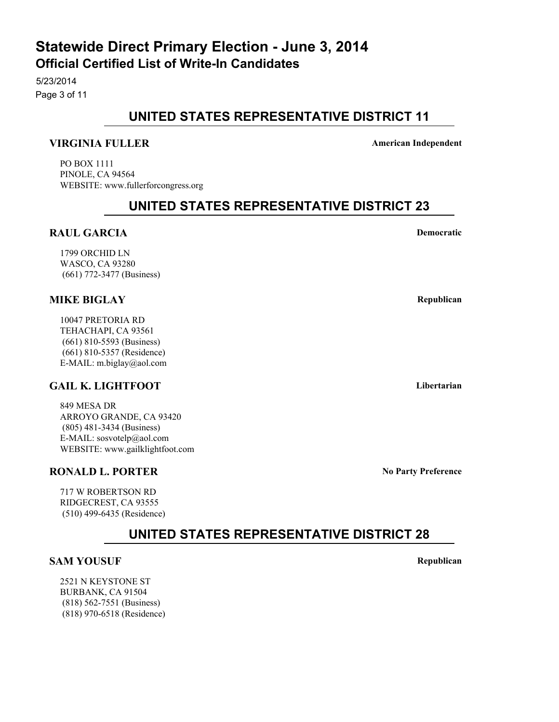5/23/2014 Page 3 of 11

## **UNITED STATES REPRESENTATIVE DISTRICT 11**

#### **VIRGINIA FULLER American Independent**

PO BOX 1111 PINOLE, CA 94564 WEBSITE: www.fullerforcongress.org

## **UNITED STATES REPRESENTATIVE DISTRICT 23**

### **RAUL GARCIA Democratic**

1799 ORCHID LN WASCO, CA 93280 (661) 772-3477 (Business)

## **MIKE BIGLAY Republican**

10047 PRETORIA RD TEHACHAPI, CA 93561 (661) 810-5593 (Business) (661) 810-5357 (Residence) E-MAIL: m.biglay@aol.com

## **GAIL K. LIGHTFOOT Libertarian**

849 MESA DR ARROYO GRANDE, CA 93420 (805) 481-3434 (Business) E-MAIL: sosvotelp@aol.com WEBSITE: www.gailklightfoot.com

#### **RONALD L. PORTER** No Party Preference

717 W ROBERTSON RD RIDGECREST, CA 93555 (510) 499-6435 (Residence)

**UNITED STATES REPRESENTATIVE DISTRICT 28**

#### **SAM YOUSUF Republican**

2521 N KEYSTONE ST BURBANK, CA 91504 (818) 562-7551 (Business) (818) 970-6518 (Residence)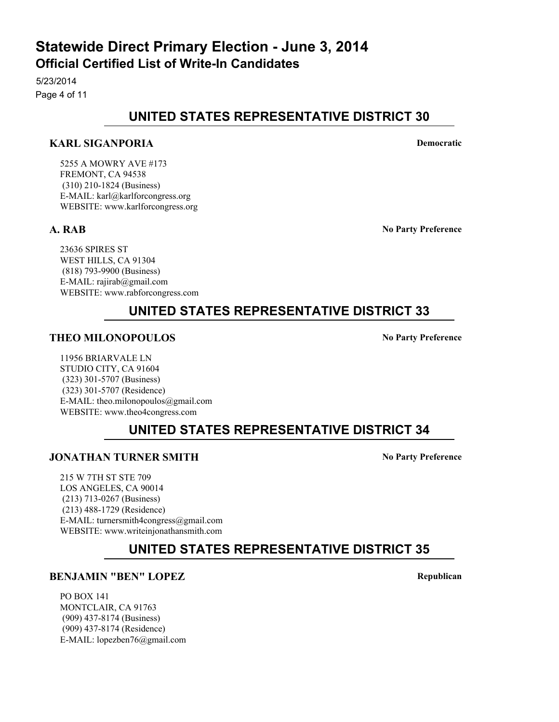5/23/2014 Page 4 of 11

## **UNITED STATES REPRESENTATIVE DISTRICT 30**

### **KARL SIGANPORIA Democratic**

5255 A MOWRY AVE #173 FREMONT, CA 94538 (310) 210-1824 (Business) E-MAIL: karl@karlforcongress.org WEBSITE: www.karlforcongress.org

**A. RAB No Party Preference**

23636 SPIRES ST WEST HILLS, CA 91304 (818) 793-9900 (Business) E-MAIL: rajirab@gmail.com WEBSITE: www.rabforcongress.com

## **UNITED STATES REPRESENTATIVE DISTRICT 33**

### **THEO MILONOPOULOS No Party Preference**

11956 BRIARVALE LN STUDIO CITY, CA 91604 (323) 301-5707 (Business) (323) 301-5707 (Residence) E-MAIL: theo.milonopoulos@gmail.com WEBSITE: www.theo4congress.com

## **UNITED STATES REPRESENTATIVE DISTRICT 34**

## **JONATHAN TURNER SMITH No Party Preference**

215 W 7TH ST STE 709 LOS ANGELES, CA 90014 (213) 713-0267 (Business) (213) 488-1729 (Residence) E-MAIL: turnersmith4congress@gmail.com WEBSITE: www.writeinjonathansmith.com

## **UNITED STATES REPRESENTATIVE DISTRICT 35**

#### **BENJAMIN "BEN" LOPEZ Republican**

PO BOX 141 MONTCLAIR, CA 91763 (909) 437-8174 (Business) (909) 437-8174 (Residence) E-MAIL: lopezben76@gmail.com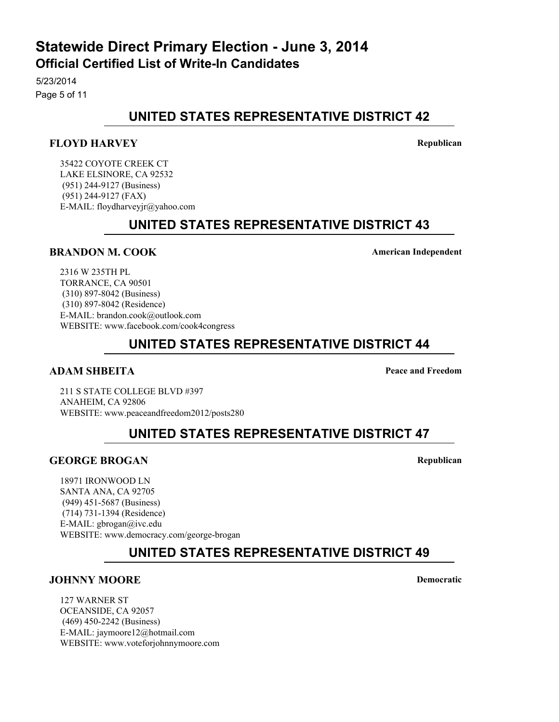5/23/2014 Page 5 of 11

## **UNITED STATES REPRESENTATIVE DISTRICT 42**

#### **FLOYD HARVEY Republican**

35422 COYOTE CREEK CT LAKE ELSINORE, CA 92532 (951) 244-9127 (Business) (951) 244-9127 (FAX) E-MAIL: floydharveyjr@yahoo.com

## **UNITED STATES REPRESENTATIVE DISTRICT 43**

#### **BRANDON M. COOK American Independent**

2316 W 235TH PL TORRANCE, CA 90501 (310) 897-8042 (Business) (310) 897-8042 (Residence) E-MAIL: brandon.cook@outlook.com WEBSITE: www.facebook.com/cook4congress

## **UNITED STATES REPRESENTATIVE DISTRICT 44**

#### **ADAM SHBEITA Peace and Freedom**

211 S STATE COLLEGE BLVD #397 ANAHEIM, CA 92806 WEBSITE: www.peaceandfreedom2012/posts280

## **UNITED STATES REPRESENTATIVE DISTRICT 47**

#### **GEORGE BROGAN Republican**

18971 IRONWOOD LN SANTA ANA, CA 92705 (949) 451-5687 (Business) (714) 731-1394 (Residence) E-MAIL: gbrogan@ivc.edu WEBSITE: www.democracy.com/george-brogan

## **UNITED STATES REPRESENTATIVE DISTRICT 49**

#### **JOHNNY MOORE Democratic**

127 WARNER ST OCEANSIDE, CA 92057 (469) 450-2242 (Business) E-MAIL: jaymoore12@hotmail.com WEBSITE: www.voteforjohnnymoore.com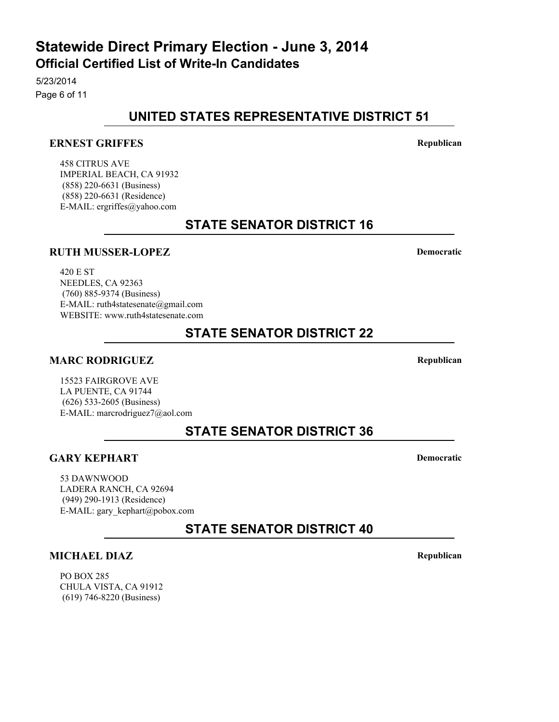5/23/2014 Page 6 of 11

## **UNITED STATES REPRESENTATIVE DISTRICT 51**

## **ERNEST GRIFFES Republican**

458 CITRUS AVE IMPERIAL BEACH, CA 91932 (858) 220-6631 (Business) (858) 220-6631 (Residence) E-MAIL: ergriffes@yahoo.com

## **STATE SENATOR DISTRICT 16**

## **RUTH MUSSER-LOPEZ Democratic**

420 E ST NEEDLES, CA 92363 (760) 885-9374 (Business) E-MAIL: ruth4statesenate@gmail.com WEBSITE: www.ruth4statesenate.com

## **STATE SENATOR DISTRICT 22**

## **MARC RODRIGUEZ Republican**

15523 FAIRGROVE AVE LA PUENTE, CA 91744 (626) 533-2605 (Business) E-MAIL: marcrodriguez7@aol.com

## **STATE SENATOR DISTRICT 36**

## **GARY KEPHART Democratic**

53 DAWNWOOD LADERA RANCH, CA 92694 (949) 290-1913 (Residence) E-MAIL: gary\_kephart@pobox.com

**STATE SENATOR DISTRICT 40**

## **MICHAEL DIAZ Republican**

PO BOX 285 CHULA VISTA, CA 91912 (619) 746-8220 (Business)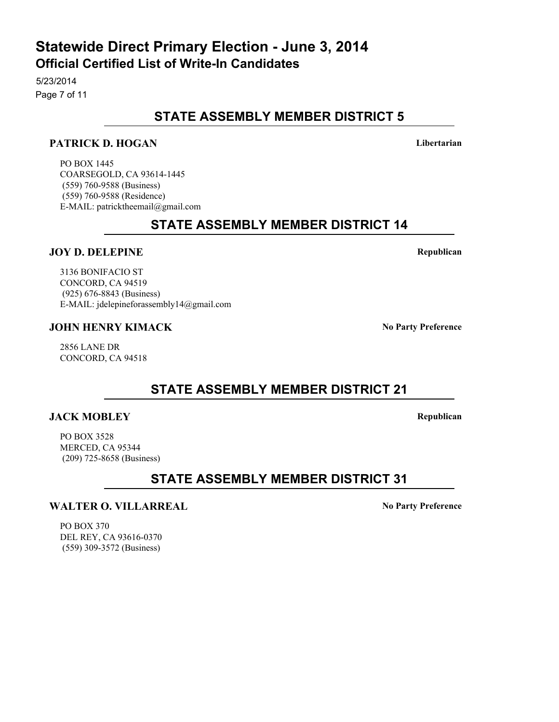# **STATE ASSEMBLY MEMBER DISTRICT 5**

#### **PATRICK D. HOGAN Libertarian**

PO BOX 1445 COARSEGOLD, CA 93614-1445 (559) 760-9588 (Business) (559) 760-9588 (Residence) E-MAIL: patricktheemail@gmail.com

**STATE ASSEMBLY MEMBER DISTRICT 14**

#### **JOY D. DELEPINE Republican**

3136 BONIFACIO ST CONCORD, CA 94519 (925) 676-8843 (Business) E-MAIL: jdelepineforassembly14@gmail.com

#### **JOHN HENRY KIMACK No Party Preference**

2856 LANE DR CONCORD, CA 94518

**STATE ASSEMBLY MEMBER DISTRICT 21**

#### **JACK MOBLEY Republican**

PO BOX 3528 MERCED, CA 95344 (209) 725-8658 (Business)

**STATE ASSEMBLY MEMBER DISTRICT 31**

#### **WALTER O. VILLARREAL MODE IN PROPERTY PROPERTY PREFERENCE**

PO BOX 370 DEL REY, CA 93616-0370 (559) 309-3572 (Business)

## **Official Certified List of Write-In Candidates Statewide Direct Primary Election - June 3, 2014**

5/23/2014 Page 7 of 11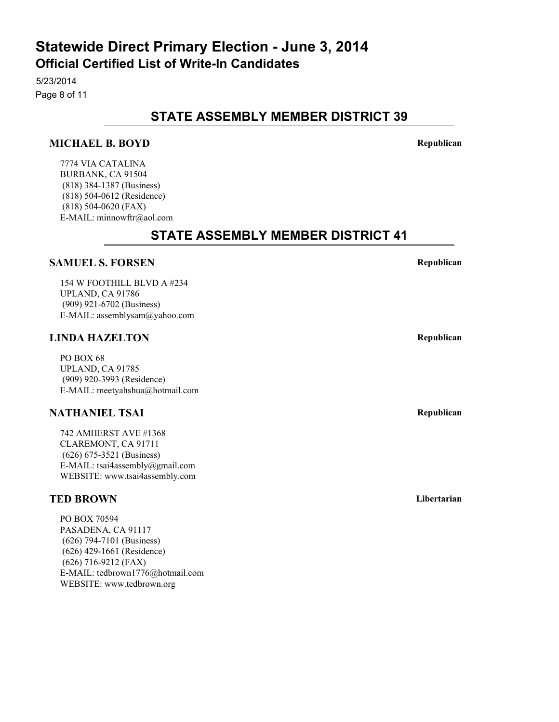5/23/2014 Page 8 of 11

## **STATE ASSEMBLY MEMBER DISTRICT 39**

#### **MICHAEL B. BOYD Republican**

7774 VIA CATALINA BURBANK, CA 91504 (818) 384-1387 (Business) (818) 504-0612 (Residence) (818) 504-0620 (FAX) E-MAIL: minnowftr@aol.com

## **STATE ASSEMBLY MEMBER DISTRICT 41**

#### **SAMUEL S. FORSEN Republican**

154 W FOOTHILL BLVD A #234 UPLAND, CA 91786 (909) 921-6702 (Business) E-MAIL: assemblysam@yahoo.com

#### **LINDA HAZELTON Republican**

PO BOX 68 UPLAND, CA 91785 (909) 920-3993 (Residence) E-MAIL: meetyahshua@hotmail.com

#### **NATHANIEL TSAI Republican**

742 AMHERST AVE #1368 CLAREMONT, CA 91711 (626) 675-3521 (Business) E-MAIL: tsai4assembly@gmail.com WEBSITE: www.tsai4assembly.com

#### **TED BROWN** Libertarian

PO BOX 70594 PASADENA, CA 91117 (626) 794-7101 (Business) (626) 429-1661 (Residence) (626) 716-9212 (FAX) E-MAIL: tedbrown1776@hotmail.com WEBSITE: www.tedbrown.org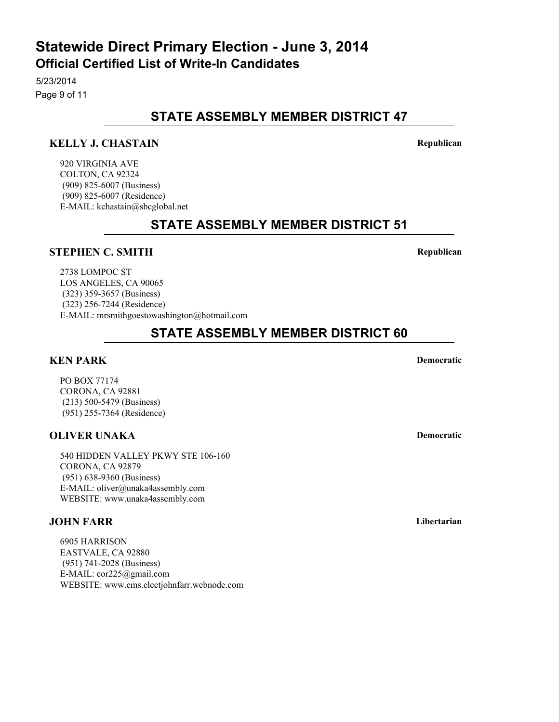5/23/2014 Page 9 of 11

## **STATE ASSEMBLY MEMBER DISTRICT 47**

## **KELLY J. CHASTAIN Republican**

920 VIRGINIA AVE COLTON, CA 92324 (909) 825-6007 (Business) (909) 825-6007 (Residence) E-MAIL: kchastain@sbcglobal.net

## **STATE ASSEMBLY MEMBER DISTRICT 51**

## **STEPHEN C. SMITH Republican**

2738 LOMPOC ST LOS ANGELES, CA 90065 (323) 359-3657 (Business) (323) 256-7244 (Residence) E-MAIL: mrsmithgoestowashington@hotmail.com

## **STATE ASSEMBLY MEMBER DISTRICT 60**

## **KEN PARK Democratic**

PO BOX 77174 CORONA, CA 92881 (213) 500-5479 (Business) (951) 255-7364 (Residence)

## **OLIVER UNAKA Democratic**

540 HIDDEN VALLEY PKWY STE 106-160 CORONA, CA 92879 (951) 638-9360 (Business) E-MAIL: oliver@unaka4assembly.com WEBSITE: www.unaka4assembly.com

## **JOHN FARR Libertarian**

6905 HARRISON EASTVALE, CA 92880 (951) 741-2028 (Business) E-MAIL: cor225@gmail.com WEBSITE: www.cms.electjohnfarr.webnode.com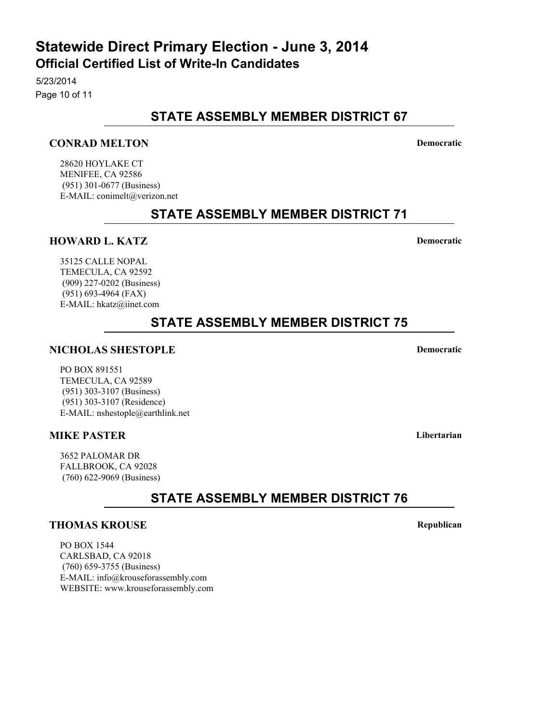# **STATE ASSEMBLY MEMBER DISTRICT 67**

## **CONRAD MELTON Democratic**

28620 HOYLAKE CT MENIFEE, CA 92586 (951) 301-0677 (Business) E-MAIL: conimelt@verizon.net

## **STATE ASSEMBLY MEMBER DISTRICT 71**

#### **HOWARD L. KATZ Democratic**

35125 CALLE NOPAL TEMECULA, CA 92592 (909) 227-0202 (Business) (951) 693-4964 (FAX) E-MAIL: hkatz@iinet.com

## **STATE ASSEMBLY MEMBER DISTRICT 75**

#### **NICHOLAS SHESTOPLE Democratic**

PO BOX 891551 TEMECULA, CA 92589 (951) 303-3107 (Business) (951) 303-3107 (Residence) E-MAIL: nshestople@earthlink.net

#### **MIKE PASTER Libertarian**

3652 PALOMAR DR FALLBROOK, CA 92028 (760) 622-9069 (Business)

**STATE ASSEMBLY MEMBER DISTRICT 76**

#### **THOMAS KROUSE Republican**

PO BOX 1544 CARLSBAD, CA 92018 (760) 659-3755 (Business) E-MAIL: info@krouseforassembly.com WEBSITE: www.krouseforassembly.com

## **Official Certified List of Write-In Candidates Statewide Direct Primary Election - June 3, 2014**

5/23/2014 Page 10 of 11